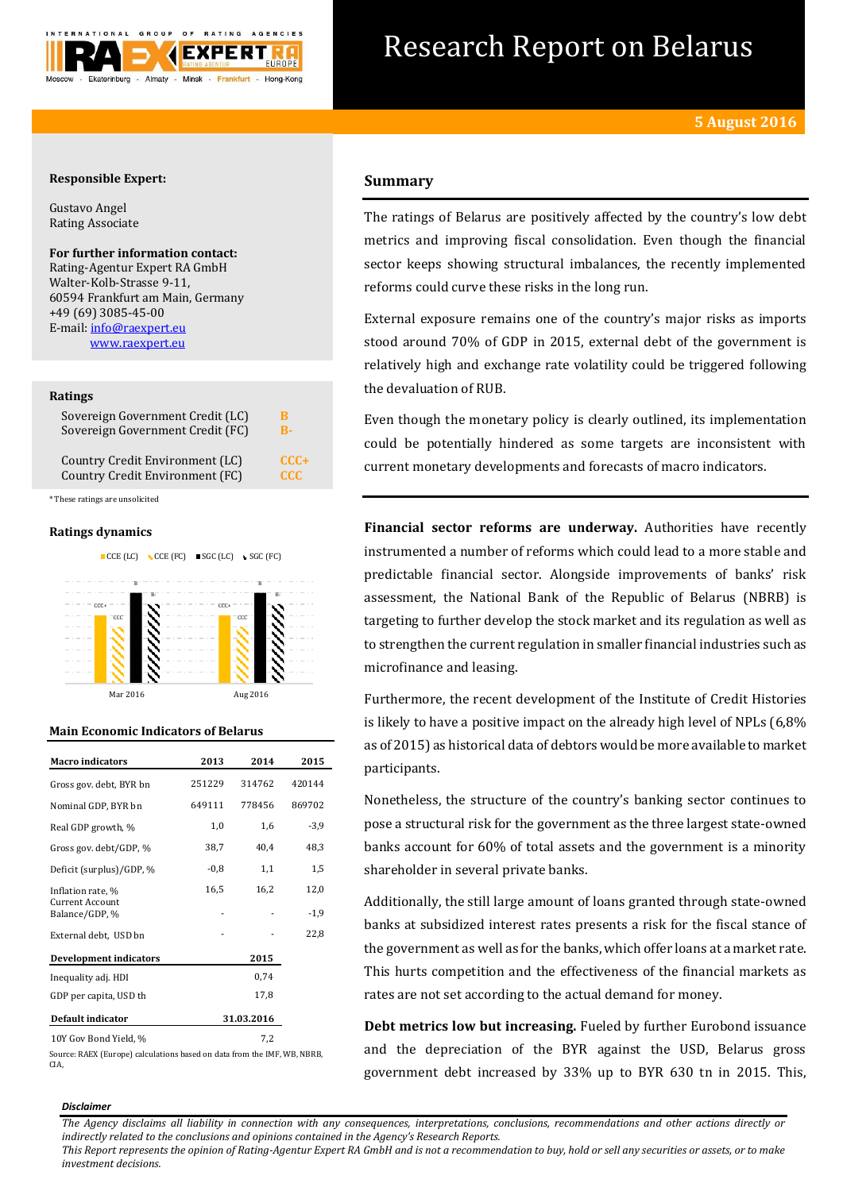

# Research Report on Belarus

# **Responsible Expert:**

Gustavo Angel Rating Associate

## **For further information contact:** Rating-Agentur Expert RA GmbH

Walter-Kolb-Strasse 9-11, 60594 Frankfurt am Main, Germany +49 (69) 3085-45-00 E-mail[: info@raexpert.eu](mailto:info@raexpert.eu) [www.raexpert.eu](http://raexpert.eu/)

## **Ratings**

| Sovereign Government Credit (LC) | в      |
|----------------------------------|--------|
| Sovereign Government Credit (FC) | R-     |
| Country Credit Environment (LC)  | $CCC+$ |
| Country Credit Environment (FC)  | CCC.   |

\* These ratings are unsolicited

## **Ratings dynamics**



# **Main Economic Indicators of Belarus**

| <b>Macro</b> indicators                  | 2013       | 2014   | 2015   |
|------------------------------------------|------------|--------|--------|
| Gross gov. debt, BYR bn                  | 251229     | 314762 | 420144 |
| Nominal GDP, BYR bn                      | 649111     | 778456 | 869702 |
| Real GDP growth, %                       | 1,0        | 1,6    | $-3,9$ |
| Gross gov. debt/GDP, %                   | 38,7       | 40,4   | 48,3   |
| Deficit (surplus)/GDP, %                 | $-0.8$     | 1,1    | 1,5    |
| Inflation rate, %                        | 16,5       | 16,2   | 12,0   |
| <b>Current Account</b><br>Balance/GDP, % |            |        | $-1,9$ |
| External debt, USD bn                    |            |        | 22,8   |
| <b>Development indicators</b>            |            | 2015   |        |
| Inequality adj. HDI                      |            | 0,74   |        |
| GDP per capita, USD th                   |            | 17,8   |        |
| Default indicator                        | 31.03.2016 |        |        |
| 10Y Gov Bond Yield, %                    |            | 7,2    |        |

Source: RAEX (Europe) calculations based on data from the IMF, WB, NBRB, CIA,

# **Summary**

The ratings of Belarus are positively affected by the country's low debt metrics and improving fiscal consolidation. Even though the financial sector keeps showing structural imbalances, the recently implemented reforms could curve these risks in the long run.

External exposure remains one of the country's major risks as imports stood around 70% of GDP in 2015, external debt of the government is relatively high and exchange rate volatility could be triggered following the devaluation of RUB.

Even though the monetary policy is clearly outlined, its implementation could be potentially hindered as some targets are inconsistent with current monetary developments and forecasts of macro indicators.

**Financial sector reforms are underway.** Authorities have recently instrumented a number of reforms which could lead to a more stable and predictable financial sector. Alongside improvements of banks' risk assessment, the National Bank of the Republic of Belarus (NBRB) is targeting to further develop the stock market and its regulation as well as to strengthen the current regulation in smaller financial industries such as microfinance and leasing.

Furthermore, the recent development of the Institute of Credit Histories is likely to have a positive impact on the already high level of NPLs (6,8% as of 2015) as historical data of debtors would be more available to market participants.

Nonetheless, the structure of the country's banking sector continues to pose a structural risk for the government as the three largest state-owned banks account for 60% of total assets and the government is a minority shareholder in several private banks.

Additionally, the still large amount of loans granted through state-owned banks at subsidized interest rates presents a risk for the fiscal stance of the government as well as for the banks, which offer loans at a market rate. This hurts competition and the effectiveness of the financial markets as rates are not set according to the actual demand for money.

**Debt metrics low but increasing.** Fueled by further Eurobond issuance and the depreciation of the BYR against the USD, Belarus gross government debt increased by 33% up to BYR 630 tn in 2015. This,

### *Disclaimer*

*The Agency disclaims all liability in connection with any consequences, interpretations, conclusions, recommendations and other actions directly or indirectly related to the conclusions and opinions contained in the Agency's Research Reports.*

*This Report represents the opinion of Rating-Agentur Expert RA GmbH and is not a recommendation to buy, hold or sell any securities or assets, or to make investment decisions.*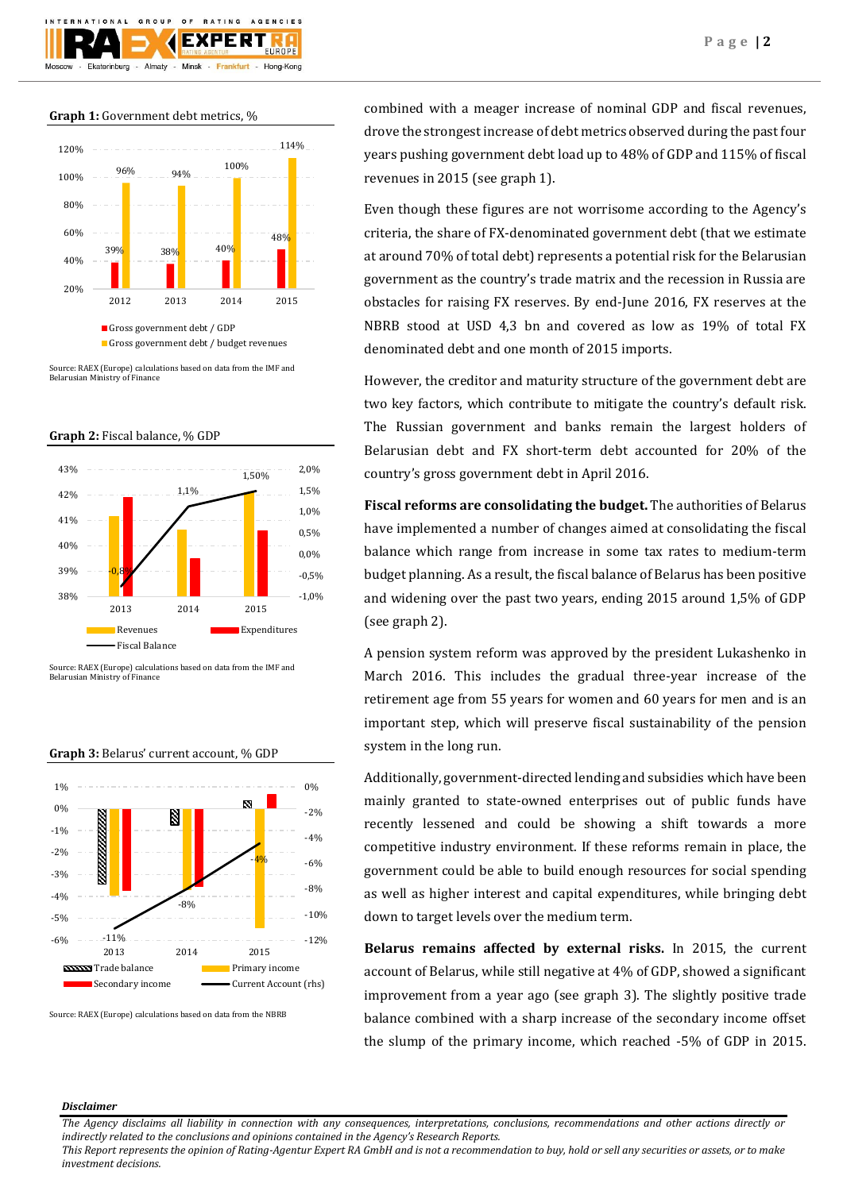

## **Graph 1:** Government debt metrics, %



Source: RAEX (Europe) calculations based on data from the IMF and Belarusian Ministry of Finance

**Graph 2:** Fiscal balance, % GDP



Source: RAEX (Europe) calculations based on data from the IMF and Belarusian Ministry of Finance



### **Graph 3:** Belarus' current account, % GDP

Source: RAEX (Europe) calculations based on data from the NBRB

combined with a meager increase of nominal GDP and fiscal revenues, drove the strongest increase of debt metrics observed during the past four years pushing government debt load up to 48% of GDP and 115% of fiscal revenues in 2015 (see graph 1).

Even though these figures are not worrisome according to the Agency's criteria, the share of FX-denominated government debt (that we estimate at around 70% of total debt) represents a potential risk for the Belarusian government as the country's trade matrix and the recession in Russia are obstacles for raising FX reserves. By end-June 2016, FX reserves at the NBRB stood at USD 4,3 bn and covered as low as 19% of total FX denominated debt and one month of 2015 imports.

However, the creditor and maturity structure of the government debt are two key factors, which contribute to mitigate the country's default risk. The Russian government and banks remain the largest holders of Belarusian debt and FX short-term debt accounted for 20% of the country's gross government debt in April 2016.

**Fiscal reforms are consolidating the budget.** The authorities of Belarus have implemented a number of changes aimed at consolidating the fiscal balance which range from increase in some tax rates to medium-term budget planning. As a result, the fiscal balance of Belarus has been positive and widening over the past two years, ending 2015 around 1,5% of GDP (see graph 2).

A pension system reform was approved by the president Lukashenko in March 2016. This includes the gradual three-year increase of the retirement age from 55 years for women and 60 years for men and is an important step, which will preserve fiscal sustainability of the pension system in the long run.

Additionally, government-directed lending and subsidies which have been mainly granted to state-owned enterprises out of public funds have recently lessened and could be showing a shift towards a more competitive industry environment. If these reforms remain in place, the government could be able to build enough resources for social spending as well as higher interest and capital expenditures, while bringing debt down to target levels over the medium term.

**Belarus remains affected by external risks.** In 2015, the current account of Belarus, while still negative at 4% of GDP, showed a significant improvement from a year ago (see graph 3). The slightly positive trade balance combined with a sharp increase of the secondary income offset the slump of the primary income, which reached -5% of GDP in 2015.

## *Disclaimer*

*The Agency disclaims all liability in connection with any consequences, interpretations, conclusions, recommendations and other actions directly or indirectly related to the conclusions and opinions contained in the Agency's Research Reports.*

*This Report represents the opinion of Rating-Agentur Expert RA GmbH and is not a recommendation to buy, hold or sell any securities or assets, or to make investment decisions.*